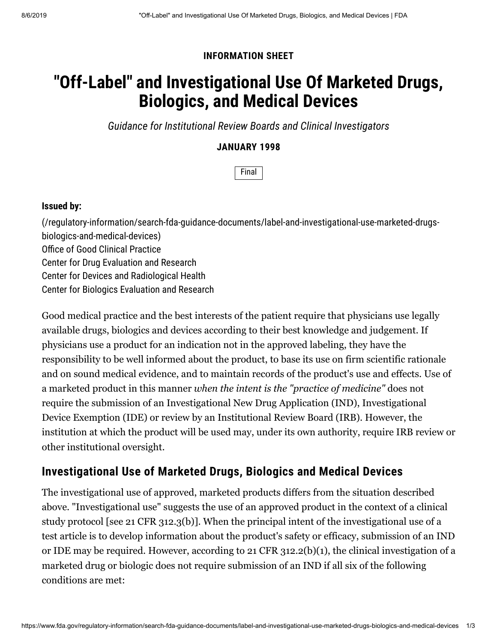### **INFORMATION SHEET**

# **"Off-Label" and Investigational Use Of Marketed Drugs, Biologics, and Medical Devices**

*Guidance for Institutional Review Boards and Clinical Investigators*

### **JANUARY 1998**

Final

#### **Issued by:**

[\(/regulatory-information/search-fda-guidance-documents/label-and-investigational-use-marketed-drugs](https://www.fda.gov/regulatory-information/search-fda-guidance-documents/label-and-investigational-use-marketed-drugs-biologics-and-medical-devices)biologics-and-medical-devices) Office of Good Clinical Practice Center for Drug Evaluation and Research Center for Devices and Radiological Health Center for Biologics Evaluation and Research

Good medical practice and the best interests of the patient require that physicians use legally available drugs, biologics and devices according to their best knowledge and judgement. If physicians use a product for an indication not in the approved labeling, they have the responsibility to be well informed about the product, to base its use on firm scientific rationale and on sound medical evidence, and to maintain records of the product's use and effects. Use of a marketed product in this manner *when the intent is the "practice of medicine"* does not require the submission of an Investigational New Drug Application (IND), Investigational Device Exemption (IDE) or review by an Institutional Review Board (IRB). However, the institution at which the product will be used may, under its own authority, require IRB review or other institutional oversight.

# **Investigational Use of Marketed Drugs, Biologics and Medical Devices**

The investigational use of approved, marketed products differs from the situation described above. "Investigational use" suggests the use of an approved product in the context of a clinical study protocol [see 21 CFR 312.3(b)]. When the principal intent of the investigational use of a test article is to develop information about the product's safety or efficacy, submission of an IND or IDE may be required. However, according to 21 CFR 312.2(b)(1), the clinical investigation of a marketed drug or biologic does not require submission of an IND if all six of the following conditions are met: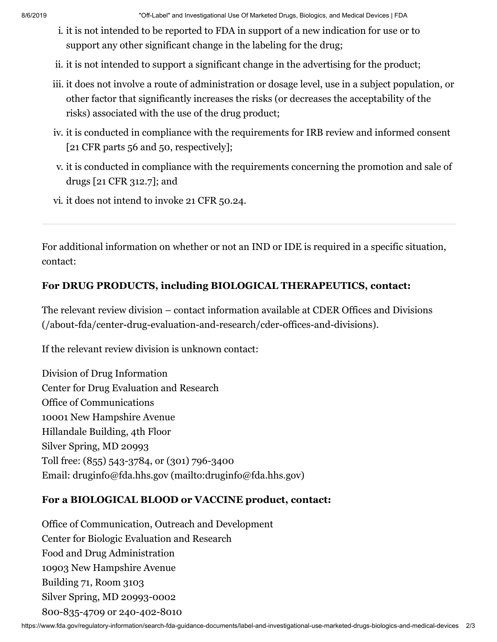8/6/2019 "Off-Label" and Investigational Use Of Marketed Drugs, Biologics, and Medical Devices | FDA

- i. it is not intended to be reported to FDA in support of a new indication for use or to support any other significant change in the labeling for the drug;
- ii. it is not intended to support a significant change in the advertising for the product;
- iii. it does not involve a route of administration or dosage level, use in a subject population, or other factor that significantly increases the risks (or decreases the acceptability of the risks) associated with the use of the drug product;
- iv. it is conducted in compliance with the requirements for IRB review and informed consent [21 CFR parts 56 and 50, respectively];
- v. it is conducted in compliance with the requirements concerning the promotion and sale of drugs [21 CFR 312.7]; and
- vi. it does not intend to invoke 21 CFR 50.24.

For additional information on whether or not an IND or IDE is required in a specific situation, contact:

## **For DRUG PRODUCTS, including BIOLOGICAL THERAPEUTICS, contact:**

[The relevant review division – contact information available at CDER Offices and Divisions](https://www.fda.gov/about-fda/center-drug-evaluation-and-research/cder-offices-and-divisions) (/about-fda/center-drug-evaluation-and-research/cder-offices-and-divisions).

If the relevant review division is unknown contact:

Division of Drug Information Center for Drug Evaluation and Research Office of Communications 10001 New Hampshire Avenue Hillandale Building, 4th Floor Silver Spring, MD 20993 Toll free: (855) 543-3784, or (301) 796-3400 Email: [druginfo@fda.hhs.gov \(mailto:druginfo@fda.hhs.gov\)](mailto:druginfo@fda.hhs.gov)

## **For a BIOLOGICAL BLOOD or VACCINE product, contact:**

Office of Communication, Outreach and Development Center for Biologic Evaluation and Research Food and Drug Administration 10903 New Hampshire Avenue Building 71, Room 3103 Silver Spring, MD 20993-0002 800-835-4709 or 240-402-8010